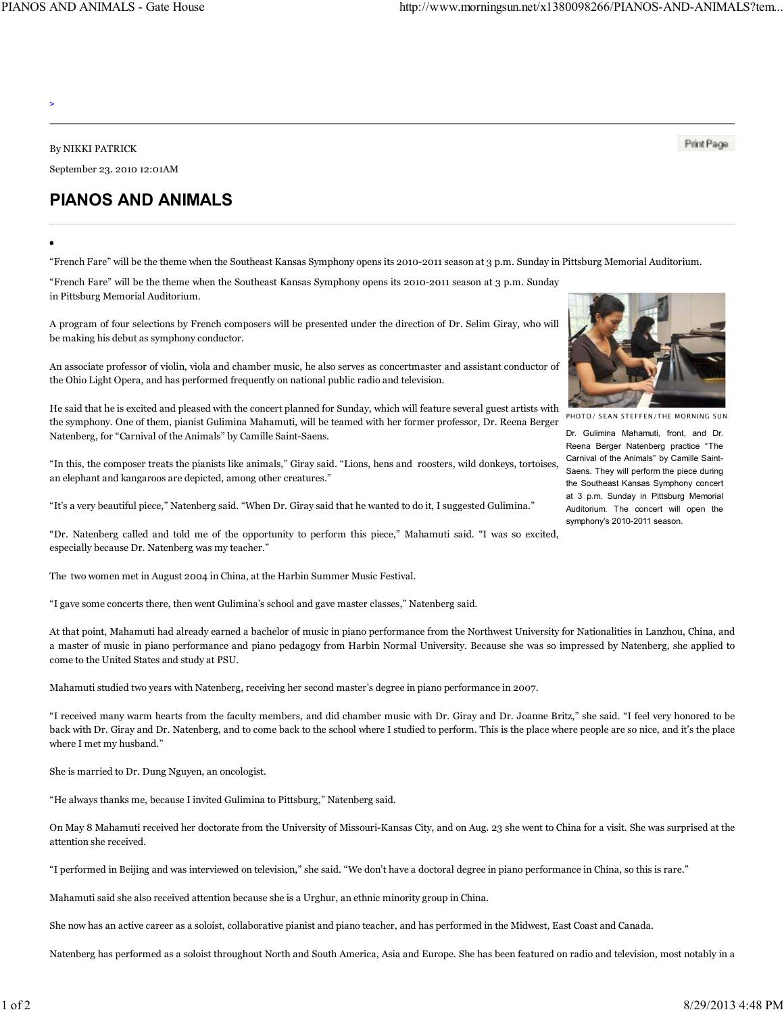>

By NIKKI PATRICK

September 23. 2010 12:01AM

## **PIANOS AND ANIMALS**

"French Fare" will be the theme when the Southeast Kansas Symphony opens its 2010-2011 season at 3 p.m. Sunday in Pittsburg Memorial Auditorium.

"French Fare" will be the theme when the Southeast Kansas Symphony opens its 2010-2011 season at 3 p.m. Sunday in Pittsburg Memorial Auditorium.

A program of four selections by French composers will be presented under the direction of Dr. Selim Giray, who will be making his debut as symphony conductor.

An associate professor of violin, viola and chamber music, he also serves as concertmaster and assistant conductor of the Ohio Light Opera, and has performed frequently on national public radio and television.

He said that he is excited and pleased with the concert planned for Sunday, which will feature several guest artists with the symphony. One of them, pianist Gulimina Mahamuti, will be teamed with her former professor, Dr. Reena Berger Natenberg, for "Carnival of the Animals" by Camille Saint-Saens.

"In this, the composer treats the pianists like animals," Giray said. "Lions, hens and roosters, wild donkeys, tortoises, an elephant and kangaroos are depicted, among other creatures."

"It's a very beautiful piece," Natenberg said. "When Dr. Giray said that he wanted to do it, I suggested Gulimina."

"Dr. Natenberg called and told me of the opportunity to perform this piece," Mahamuti said. "I was so excited, especially because Dr. Natenberg was my teacher."

The two women met in August 2004 in China, at the Harbin Summer Music Festival.

"I gave some concerts there, then went Gulimina's school and gave master classes," Natenberg said.

At that point, Mahamuti had already earned a bachelor of music in piano performance from the Northwest University for Nationalities in Lanzhou, China, and a master of music in piano performance and piano pedagogy from Harbin Normal University. Because she was so impressed by Natenberg, she applied to come to the United States and study at PSU.

Mahamuti studied two years with Natenberg, receiving her second master's degree in piano performance in 2007.

"I received many warm hearts from the faculty members, and did chamber music with Dr. Giray and Dr. Joanne Britz," she said. "I feel very honored to be back with Dr. Giray and Dr. Natenberg, and to come back to the school where I studied to perform. This is the place where people are so nice, and it's the place where I met my husband."

She is married to Dr. Dung Nguyen, an oncologist.

"He always thanks me, because I invited Gulimina to Pittsburg," Natenberg said.

On May 8 Mahamuti received her doctorate from the University of Missouri-Kansas City, and on Aug. 23 she went to China for a visit. She was surprised at the attention she received.

"I performed in Beijing and was interviewed on television," she said. "We don't have a doctoral degree in piano performance in China, so this is rare."

Mahamuti said she also received attention because she is a Urghur, an ethnic minority group in China.

She now has an active career as a soloist, collaborative pianist and piano teacher, and has performed in the Midwest, East Coast and Canada.

Natenberg has performed as a soloist throughout North and South America, Asia and Europe. She has been featured on radio and television, most notably in a



Print Page

PHOTO/ SEAN STEFFEN/THE MORNING SUN

Dr. Gulimina Mahamuti, front, and Dr. Reena Berger Natenberg practice "The Carnival of the Animals" by Camille Saint-Saens. They will perform the piece during the Southeast Kansas Symphony concert at 3 p.m. Sunday in Pittsburg Memorial Auditorium. The concert will open the symphony's 2010-2011 season.